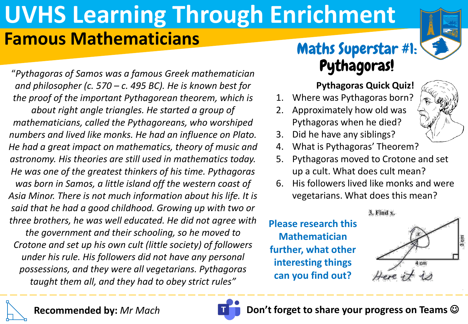# **UVHS Learning Through Enrichment Famous Mathematicians**

"*Pythagoras of Samos was a famous Greek mathematician and philosopher (c. 570 – c. 495 BC). He is known best for the proof of the important Pythagorean theorem, which is about right angle triangles. He started a group of mathematicians, called the Pythagoreans, who worshiped numbers and lived like monks. He had an influence on Plato. He had a great impact on mathematics, theory of music and astronomy. His theories are still used in mathematics today. He was one of the greatest thinkers of his time. Pythagoras was born in Samos, a little island off the western coast of Asia Minor. There is not much information about his life. It is said that he had a good childhood. Growing up with two or three brothers, he was well educated. He did not agree with the government and their schooling, so he moved to* 

*Crotone and set up his own cult (little society) of followers under his rule. His followers did not have any personal possessions, and they were all vegetarians. Pythagoras taught them all, and they had to obey strict rules"*

## Maths Superstar #1: Pythagoras!

### **Pythagoras Quick Quiz!**

- 1. Where was Pythagoras born?
- 2. Approximately how old was Pythagoras when he died?



- 3. Did he have any siblings?
- 4. What is Pythagoras' Theorem?
- 5. Pythagoras moved to Crotone and set up a cult. What does cult mean?
- 6. His followers lived like monks and were vegetarians. What does this mean?

#### 3. Find x.

**Please research this Mathematician further, what other interesting things can you find out?** 





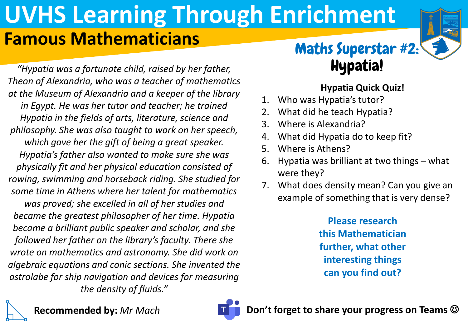# **UVHS Learning Through Enrichment Famous Mathematicians**

Maths Superstar #2: Hypatia!

**Hypatia Quick Quiz!**

- 1. Who was Hypatia's tutor?
- 2. What did he teach Hypatia?
- 3. Where is Alexandria?
- 4. What did Hypatia do to keep fit?
- 5. Where is Athens?
- 6. Hypatia was brilliant at two things what were they?
- 7. What does density mean? Can you give an example of something that is very dense?

**Please research this Mathematician further, what other interesting things can you find out?** 

**Recommended by:** *Mr Mach became a brilliant public speaker and scholar, and she followed her father on the library's faculty. There she wrote on mathematics and astronomy. She did work on algebraic equations and conic sections. She invented the astrolabe for ship navigation and devices for measuring the density of fluids."*

*"Hypatia was a fortunate child, raised by her father,* 

*Theon of Alexandria, who was a teacher of mathematics* 

*at the Museum of Alexandria and a keeper of the library* 

*in Egypt. He was her tutor and teacher; he trained* 

*Hypatia in the fields of arts, literature, science and* 

*philosophy. She was also taught to work on her speech,* 

*which gave her the gift of being a great speaker. Hypatia's father also wanted to make sure she was* 

*physically fit and her physical education consisted of* 

*rowing, swimming and horseback riding. She studied for* 

*some time in Athens where her talent for mathematics was proved; she excelled in all of her studies and* 

*became the greatest philosopher of her time. Hypatia*